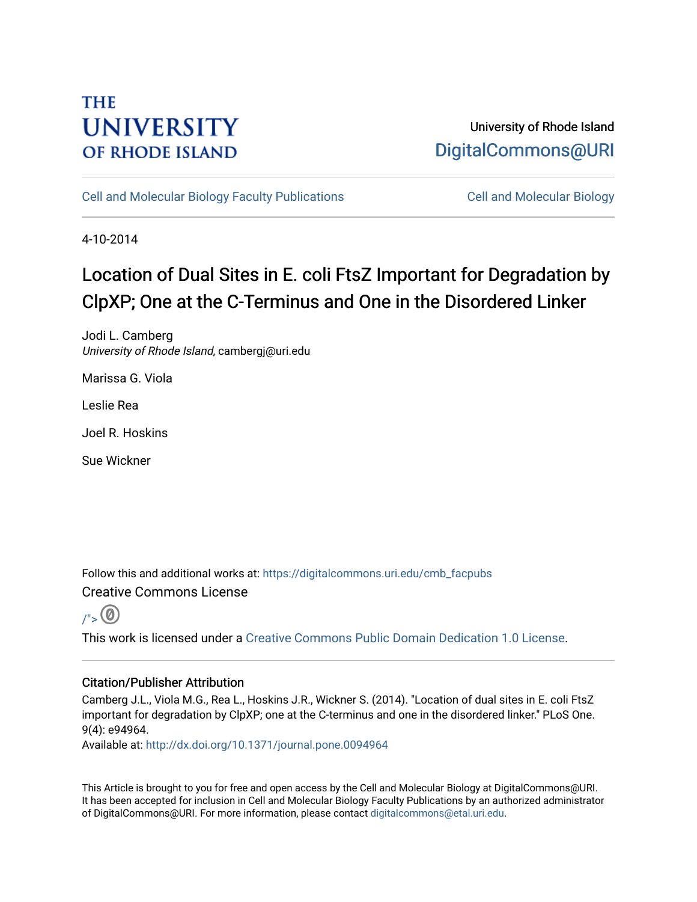## **THE UNIVERSITY OF RHODE ISLAND**

## University of Rhode Island [DigitalCommons@URI](https://digitalcommons.uri.edu/)

[Cell and Molecular Biology Faculty Publications](https://digitalcommons.uri.edu/cmb_facpubs) [Cell and Molecular Biology](https://digitalcommons.uri.edu/cmb) 

4-10-2014

# Location of Dual Sites in E. coli FtsZ Important for Degradation by ClpXP; One at the C-Terminus and One in the Disordered Linker

Jodi L. Camberg University of Rhode Island, cambergj@uri.edu

Marissa G. Viola

Leslie Rea

Joel R. Hoskins

Sue Wickner

Follow this and additional works at: [https://digitalcommons.uri.edu/cmb\\_facpubs](https://digitalcommons.uri.edu/cmb_facpubs?utm_source=digitalcommons.uri.edu%2Fcmb_facpubs%2F13&utm_medium=PDF&utm_campaign=PDFCoverPages)  Creative Commons License



This work is licensed under a [Creative Commons Public Domain Dedication 1.0 License](https://creativecommons.org/publicdomain/zero/1.0/).

### Citation/Publisher Attribution

Camberg J.L., Viola M.G., Rea L., Hoskins J.R., Wickner S. (2014). "Location of dual sites in E. coli FtsZ important for degradation by ClpXP; one at the C-terminus and one in the disordered linker." PLoS One. 9(4): e94964.

Available at:<http://dx.doi.org/10.1371/journal.pone.0094964>

This Article is brought to you for free and open access by the Cell and Molecular Biology at DigitalCommons@URI. It has been accepted for inclusion in Cell and Molecular Biology Faculty Publications by an authorized administrator of DigitalCommons@URI. For more information, please contact [digitalcommons@etal.uri.edu](mailto:digitalcommons@etal.uri.edu).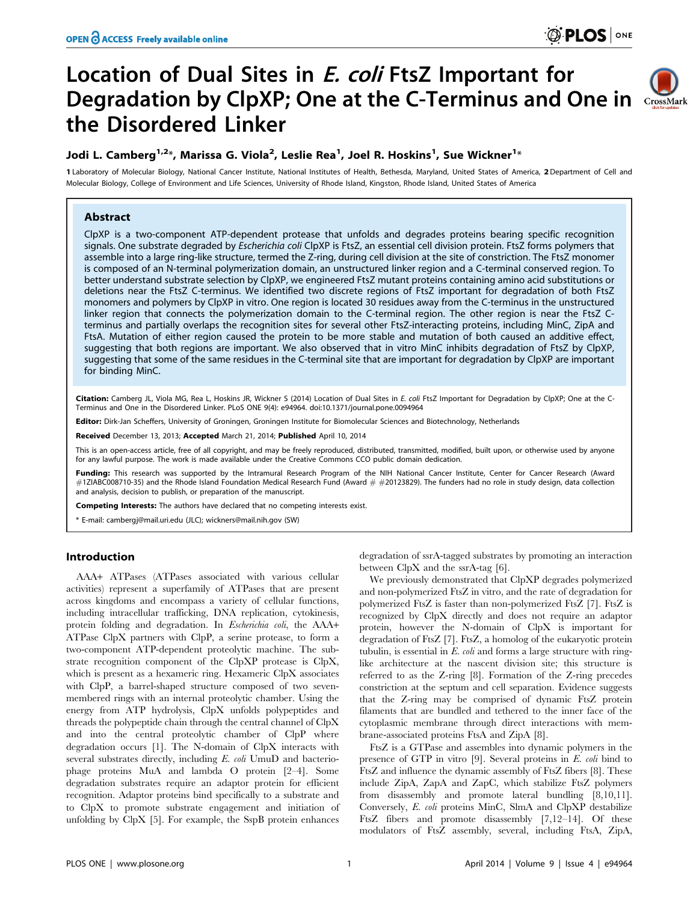## Location of Dual Sites in *E. coli* FtsZ Important for Degradation by ClpXP; One at the C-Terminus and One in CrossMark the Disordered Linker



### Jodi L. Camberg $^{1,2_\ast}$ , Marissa G. Viola $^2$ , Leslie Rea $^1$ , Joel R. Hoskins $^1$ , Sue Wickner $^{1_\ast}$

1 Laboratory of Molecular Biology, National Cancer Institute, National Institutes of Health, Bethesda, Maryland, United States of America, 2 Department of Cell and Molecular Biology, College of Environment and Life Sciences, University of Rhode Island, Kingston, Rhode Island, United States of America

#### Abstract

ClpXP is a two-component ATP-dependent protease that unfolds and degrades proteins bearing specific recognition signals. One substrate degraded by Escherichia coli ClpXP is FtsZ, an essential cell division protein. FtsZ forms polymers that assemble into a large ring-like structure, termed the Z-ring, during cell division at the site of constriction. The FtsZ monomer is composed of an N-terminal polymerization domain, an unstructured linker region and a C-terminal conserved region. To better understand substrate selection by ClpXP, we engineered FtsZ mutant proteins containing amino acid substitutions or deletions near the FtsZ C-terminus. We identified two discrete regions of FtsZ important for degradation of both FtsZ monomers and polymers by ClpXP in vitro. One region is located 30 residues away from the C-terminus in the unstructured linker region that connects the polymerization domain to the C-terminal region. The other region is near the FtsZ Cterminus and partially overlaps the recognition sites for several other FtsZ-interacting proteins, including MinC, ZipA and FtsA. Mutation of either region caused the protein to be more stable and mutation of both caused an additive effect, suggesting that both regions are important. We also observed that in vitro MinC inhibits degradation of FtsZ by ClpXP, suggesting that some of the same residues in the C-terminal site that are important for degradation by ClpXP are important for binding MinC.

Citation: Camberg JL, Viola MG, Rea L, Hoskins JR, Wickner S (2014) Location of Dual Sites in E. coli FtsZ Important for Degradation by ClpXP; One at the C-Terminus and One in the Disordered Linker. PLoS ONE 9(4): e94964. doi:10.1371/journal.pone.0094964

Editor: Dirk-Jan Scheffers, University of Groningen, Groningen Institute for Biomolecular Sciences and Biotechnology, Netherlands

Received December 13, 2013; Accepted March 21, 2014; Published April 10, 2014

This is an open-access article, free of all copyright, and may be freely reproduced, distributed, transmitted, modified, built upon, or otherwise used by anyone for any lawful purpose. The work is made available under the Creative Commons CCO public domain dedication.

Funding: This research was supported by the Intramural Research Program of the NIH National Cancer Institute, Center for Cancer Research (Award  $\#$ 1ZIABC008710-35) and the Rhode Island Foundation Medical Research Fund (Award  $\#$   $\#$ 20123829). The funders had no role in study design, data collection and analysis, decision to publish, or preparation of the manuscript.

Competing Interests: The authors have declared that no competing interests exist.

\* E-mail: cambergj@mail.uri.edu (JLC); wickners@mail.nih.gov (SW)

#### Introduction

AAA+ ATPases (ATPases associated with various cellular activities) represent a superfamily of ATPases that are present across kingdoms and encompass a variety of cellular functions, including intracellular trafficking, DNA replication, cytokinesis, protein folding and degradation. In Escherichia coli, the AAA+ ATPase ClpX partners with ClpP, a serine protease, to form a two-component ATP-dependent proteolytic machine. The substrate recognition component of the ClpXP protease is ClpX, which is present as a hexameric ring. Hexameric ClpX associates with ClpP, a barrel-shaped structure composed of two sevenmembered rings with an internal proteolytic chamber. Using the energy from ATP hydrolysis, ClpX unfolds polypeptides and threads the polypeptide chain through the central channel of ClpX and into the central proteolytic chamber of ClpP where degradation occurs [1]. The N-domain of ClpX interacts with several substrates directly, including E. coli UmuD and bacteriophage proteins MuA and lambda O protein [2–4]. Some degradation substrates require an adaptor protein for efficient recognition. Adaptor proteins bind specifically to a substrate and to ClpX to promote substrate engagement and initiation of unfolding by ClpX [5]. For example, the SspB protein enhances

degradation of ssrA-tagged substrates by promoting an interaction between ClpX and the ssrA-tag [6].

We previously demonstrated that ClpXP degrades polymerized and non-polymerized FtsZ in vitro, and the rate of degradation for polymerized FtsZ is faster than non-polymerized FtsZ [7]. FtsZ is recognized by ClpX directly and does not require an adaptor protein, however the N-domain of ClpX is important for degradation of FtsZ [7]. FtsZ, a homolog of the eukaryotic protein tubulin, is essential in  $E.$  coli and forms a large structure with ringlike architecture at the nascent division site; this structure is referred to as the Z-ring [8]. Formation of the Z-ring precedes constriction at the septum and cell separation. Evidence suggests that the Z-ring may be comprised of dynamic FtsZ protein filaments that are bundled and tethered to the inner face of the cytoplasmic membrane through direct interactions with membrane-associated proteins FtsA and ZipA [8].

FtsZ is a GTPase and assembles into dynamic polymers in the presence of GTP in vitro [9]. Several proteins in E. coli bind to FtsZ and influence the dynamic assembly of FtsZ fibers [8]. These include ZipA, ZapA and ZapC, which stabilize FtsZ polymers from disassembly and promote lateral bundling [8,10,11]. Conversely, E. coli proteins MinC, SlmA and ClpXP destabilize FtsZ fibers and promote disassembly [7,12–14]. Of these modulators of FtsZ assembly, several, including FtsA, ZipA,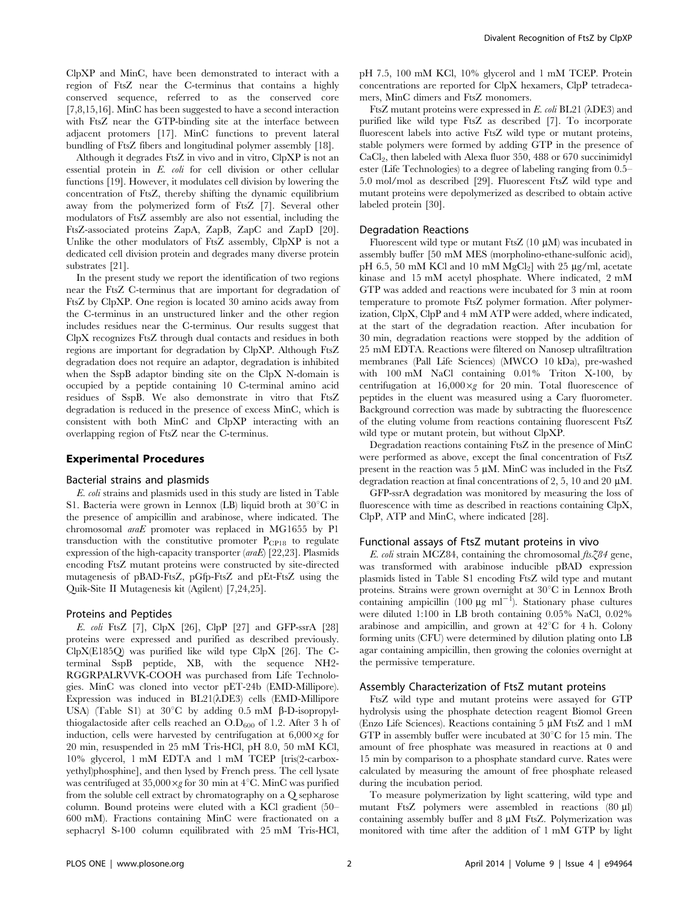ClpXP and MinC, have been demonstrated to interact with a region of FtsZ near the C-terminus that contains a highly conserved sequence, referred to as the conserved core [7,8,15,16]. MinC has been suggested to have a second interaction with FtsZ near the GTP-binding site at the interface between adjacent protomers [17]. MinC functions to prevent lateral bundling of FtsZ fibers and longitudinal polymer assembly [18].

Although it degrades FtsZ in vivo and in vitro, ClpXP is not an essential protein in E. coli for cell division or other cellular functions [19]. However, it modulates cell division by lowering the concentration of FtsZ, thereby shifting the dynamic equilibrium away from the polymerized form of FtsZ [7]. Several other modulators of FtsZ assembly are also not essential, including the FtsZ-associated proteins ZapA, ZapB, ZapC and ZapD [20]. Unlike the other modulators of FtsZ assembly, ClpXP is not a dedicated cell division protein and degrades many diverse protein substrates [21].

In the present study we report the identification of two regions near the FtsZ C-terminus that are important for degradation of FtsZ by ClpXP. One region is located 30 amino acids away from the C-terminus in an unstructured linker and the other region includes residues near the C-terminus. Our results suggest that ClpX recognizes FtsZ through dual contacts and residues in both regions are important for degradation by ClpXP. Although FtsZ degradation does not require an adaptor, degradation is inhibited when the SspB adaptor binding site on the ClpX N-domain is occupied by a peptide containing 10 C-terminal amino acid residues of SspB. We also demonstrate in vitro that FtsZ degradation is reduced in the presence of excess MinC, which is consistent with both MinC and ClpXP interacting with an overlapping region of FtsZ near the C-terminus.

#### Experimental Procedures

#### Bacterial strains and plasmids

E. coli strains and plasmids used in this study are listed in Table S1. Bacteria were grown in Lennox (LB) liquid broth at  $30^{\circ}$ C in the presence of ampicillin and arabinose, where indicated. The chromosomal araE promoter was replaced in MG1655 by P1 transduction with the constitutive promoter  $P_{CP18}$  to regulate expression of the high-capacity transporter  $(anaE)$  [22,23]. Plasmids encoding FtsZ mutant proteins were constructed by site-directed mutagenesis of pBAD-FtsZ, pGfp-FtsZ and pEt-FtsZ using the Quik-Site II Mutagenesis kit (Agilent) [7,24,25].

#### Proteins and Peptides

E. coli FtsZ [7], ClpX [26], ClpP [27] and GFP-ssrA [28] proteins were expressed and purified as described previously. ClpX(E185Q) was purified like wild type ClpX [26]. The Cterminal SspB peptide, XB, with the sequence NH2- RGGRPALRVVK-COOH was purchased from Life Technologies. MinC was cloned into vector pET-24b (EMD-Millipore). Expression was induced in  $BL21(\lambda DE3)$  cells (EMD-Millipore USA) (Table S1) at  $30^{\circ}$ C by adding 0.5 mM  $\beta$ -D-isopropylthiogalactoside after cells reached an  $O.D<sub>600</sub>$  of 1.2. After 3 h of induction, cells were harvested by centrifugation at  $6,000 \times g$  for 20 min, resuspended in 25 mM Tris-HCl, pH 8.0, 50 mM KCl, 10% glycerol, 1 mM EDTA and 1 mM TCEP [tris(2-carboxyethyl)phosphine], and then lysed by French press. The cell lysate was centrifuged at  $35,000 \times g$  for 30 min at 4°C. MinC was purified from the soluble cell extract by chromatography on a Q sepharose column. Bound proteins were eluted with a KCl gradient (50– 600 mM). Fractions containing MinC were fractionated on a sephacryl S-100 column equilibrated with 25 mM Tris-HCl, pH 7.5, 100 mM KCl, 10% glycerol and 1 mM TCEP. Protein concentrations are reported for ClpX hexamers, ClpP tetradecamers, MinC dimers and FtsZ monomers.

FtsZ mutant proteins were expressed in  $E.$  coli BL21 ( $\lambda$ DE3) and purified like wild type FtsZ as described [7]. To incorporate fluorescent labels into active FtsZ wild type or mutant proteins, stable polymers were formed by adding GTP in the presence of CaCl<sub>2</sub>, then labeled with Alexa fluor 350, 488 or 670 succinimidyl ester (Life Technologies) to a degree of labeling ranging from 0.5– 5.0 mol/mol as described [29]. Fluorescent FtsZ wild type and mutant proteins were depolymerized as described to obtain active labeled protein [30].

#### Degradation Reactions

Fluorescent wild type or mutant FtsZ  $(10 \mu M)$  was incubated in assembly buffer [50 mM MES (morpholino-ethane-sulfonic acid), pH 6.5, 50 mM KCl and 10 mM  $MgCl<sub>2</sub>$ ] with 25  $\mu$ g/ml, acetate kinase and 15 mM acetyl phosphate. Where indicated, 2 mM GTP was added and reactions were incubated for 3 min at room temperature to promote FtsZ polymer formation. After polymerization, ClpX, ClpP and 4 mM ATP were added, where indicated, at the start of the degradation reaction. After incubation for 30 min, degradation reactions were stopped by the addition of 25 mM EDTA. Reactions were filtered on Nanosep ultrafiltration membranes (Pall Life Sciences) (MWCO 10 kDa), pre-washed with 100 mM NaCl containing 0.01% Triton X-100, by centrifugation at  $16,000 \times g$  for 20 min. Total fluorescence of peptides in the eluent was measured using a Cary fluorometer. Background correction was made by subtracting the fluorescence of the eluting volume from reactions containing fluorescent FtsZ wild type or mutant protein, but without ClpXP.

Degradation reactions containing FtsZ in the presence of MinC were performed as above, except the final concentration of FtsZ present in the reaction was 5 µM. MinC was included in the FtsZ degradation reaction at final concentrations of 2, 5, 10 and 20  $\mu$ M.

GFP-ssrA degradation was monitored by measuring the loss of fluorescence with time as described in reactions containing ClpX, ClpP, ATP and MinC, where indicated [28].

#### Functional assays of FtsZ mutant proteins in vivo

E. coli strain MCZ84, containing the chromosomal  $\text{fix} \text{X04}$  gene, was transformed with arabinose inducible pBAD expression plasmids listed in Table S1 encoding FtsZ wild type and mutant proteins. Strains were grown overnight at  $30^{\circ}$ C in Lennox Broth containing ampicillin  $(100 \ \mu\text{g m}^{-1})$ . Stationary phase cultures were diluted 1:100 in LB broth containing 0.05% NaCl, 0.02% arabinose and ampicillin, and grown at  $42^{\circ}$ C for 4 h. Colony forming units (CFU) were determined by dilution plating onto LB agar containing ampicillin, then growing the colonies overnight at the permissive temperature.

#### Assembly Characterization of FtsZ mutant proteins

FtsZ wild type and mutant proteins were assayed for GTP hydrolysis using the phosphate detection reagent Biomol Green (Enzo Life Sciences). Reactions containing  $5 \mu M$  FtsZ and 1 mM GTP in assembly buffer were incubated at  $30^{\circ}$ C for 15 min. The amount of free phosphate was measured in reactions at 0 and 15 min by comparison to a phosphate standard curve. Rates were calculated by measuring the amount of free phosphate released during the incubation period.

To measure polymerization by light scattering, wild type and mutant FtsZ polymers were assembled in reactions  $(80 \mu l)$ containing assembly buffer and  $8 \mu M$  FtsZ. Polymerization was monitored with time after the addition of 1 mM GTP by light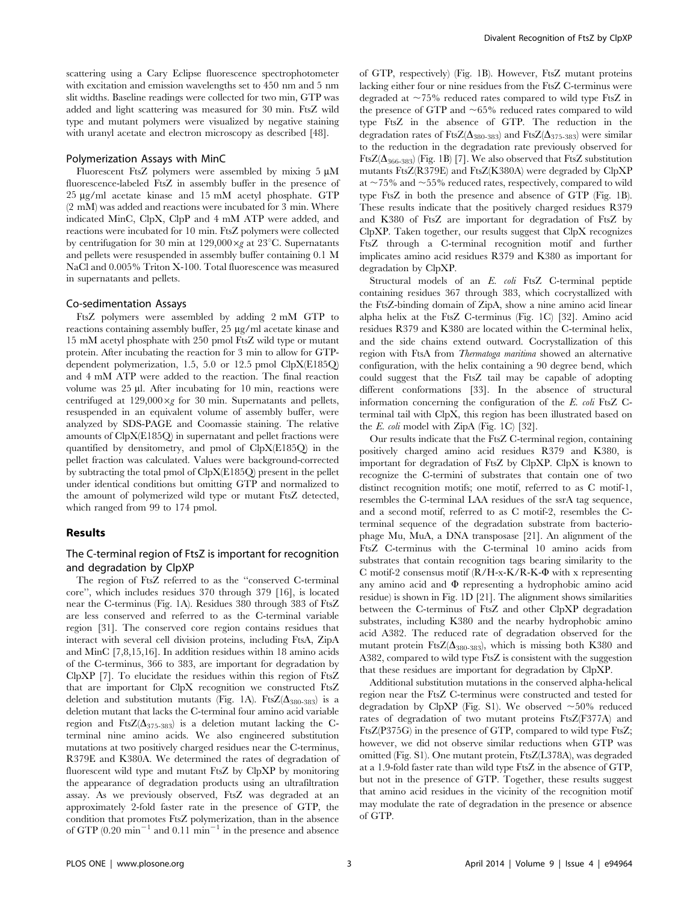scattering using a Cary Eclipse fluorescence spectrophotometer with excitation and emission wavelengths set to 450 nm and 5 nm slit widths. Baseline readings were collected for two min, GTP was added and light scattering was measured for 30 min. FtsZ wild type and mutant polymers were visualized by negative staining with uranyl acetate and electron microscopy as described [48].

#### Polymerization Assays with MinC

Fluorescent FtsZ polymers were assembled by mixing  $5 \mu M$ fluorescence-labeled FtsZ in assembly buffer in the presence of 25 mg/ml acetate kinase and 15 mM acetyl phosphate. GTP (2 mM) was added and reactions were incubated for 3 min. Where indicated MinC, ClpX, ClpP and 4 mM ATP were added, and reactions were incubated for 10 min. FtsZ polymers were collected by centrifugation for 30 min at 129,000 $\times$ g at 23°C. Supernatants and pellets were resuspended in assembly buffer containing 0.1 M NaCl and 0.005% Triton X-100. Total fluorescence was measured in supernatants and pellets.

#### Co-sedimentation Assays

FtsZ polymers were assembled by adding 2 mM GTP to reactions containing assembly buffer, 25 µg/ml acetate kinase and 15 mM acetyl phosphate with 250 pmol FtsZ wild type or mutant protein. After incubating the reaction for 3 min to allow for GTPdependent polymerization, 1.5, 5.0 or 12.5 pmol ClpX(E185Q) and 4 mM ATP were added to the reaction. The final reaction volume was 25 µl. After incubating for 10 min, reactions were centrifuged at  $129,000 \times g$  for 30 min. Supernatants and pellets, resuspended in an equivalent volume of assembly buffer, were analyzed by SDS-PAGE and Coomassie staining. The relative amounts of ClpX(E185Q) in supernatant and pellet fractions were quantified by densitometry, and pmol of ClpX(E185Q) in the pellet fraction was calculated. Values were background-corrected by subtracting the total pmol of ClpX(E185Q) present in the pellet under identical conditions but omitting GTP and normalized to the amount of polymerized wild type or mutant FtsZ detected, which ranged from 99 to 174 pmol.

#### Results

#### The C-terminal region of FtsZ is important for recognition and degradation by ClpXP

The region of FtsZ referred to as the ''conserved C-terminal core'', which includes residues 370 through 379 [16], is located near the C-terminus (Fig. 1A). Residues 380 through 383 of FtsZ are less conserved and referred to as the C-terminal variable region [31]. The conserved core region contains residues that interact with several cell division proteins, including FtsA, ZipA and MinC [7,8,15,16]. In addition residues within 18 amino acids of the C-terminus, 366 to 383, are important for degradation by ClpXP [7]. To elucidate the residues within this region of FtsZ that are important for ClpX recognition we constructed FtsZ deletion and substitution mutants (Fig. 1A). FtsZ( $\Delta_{380-383}$ ) is a deletion mutant that lacks the C-terminal four amino acid variable region and FtsZ( $\Delta_{375-383}$ ) is a deletion mutant lacking the Cterminal nine amino acids. We also engineered substitution mutations at two positively charged residues near the C-terminus, R379E and K380A. We determined the rates of degradation of fluorescent wild type and mutant FtsZ by ClpXP by monitoring the appearance of degradation products using an ultrafiltration assay. As we previously observed, FtsZ was degraded at an approximately 2-fold faster rate in the presence of GTP, the condition that promotes FtsZ polymerization, than in the absence of GTP  $(0.20 \text{ min}^{-1}$  and  $0.11 \text{ min}^{-1}$  in the presence and absence

of GTP, respectively) (Fig. 1B). However, FtsZ mutant proteins lacking either four or nine residues from the FtsZ C-terminus were degraded at  $\sim$ 75% reduced rates compared to wild type FtsZ in the presence of GTP and  $\sim65\%$  reduced rates compared to wild type FtsZ in the absence of GTP. The reduction in the degradation rates of FtsZ( $\Delta_{380-383}$ ) and FtsZ( $\Delta_{375-383}$ ) were similar to the reduction in the degradation rate previously observed for FtsZ( $\Delta_{366-383}$ ) (Fig. 1B) [7]. We also observed that FtsZ substitution mutants FtsZ(R379E) and FtsZ(K380A) were degraded by ClpXP at  $\sim$  75% and  $\sim$  55% reduced rates, respectively, compared to wild type FtsZ in both the presence and absence of GTP (Fig. 1B). These results indicate that the positively charged residues R379 and K380 of FtsZ are important for degradation of FtsZ by ClpXP. Taken together, our results suggest that ClpX recognizes FtsZ through a C-terminal recognition motif and further implicates amino acid residues R379 and K380 as important for degradation by ClpXP.

Structural models of an E. coli FtsZ C-terminal peptide containing residues 367 through 383, which cocrystallized with the FtsZ-binding domain of ZipA, show a nine amino acid linear alpha helix at the FtsZ C-terminus (Fig. 1C) [32]. Amino acid residues R379 and K380 are located within the C-terminal helix, and the side chains extend outward. Cocrystallization of this region with FtsA from Thermatoga maritima showed an alternative configuration, with the helix containing a 90 degree bend, which could suggest that the FtsZ tail may be capable of adopting different conformations [33]. In the absence of structural information concerning the configuration of the E. coli FtsZ Cterminal tail with ClpX, this region has been illustrated based on the E. coli model with ZipA (Fig. 1C) [32].

Our results indicate that the FtsZ C-terminal region, containing positively charged amino acid residues R379 and K380, is important for degradation of FtsZ by ClpXP. ClpX is known to recognize the C-termini of substrates that contain one of two distinct recognition motifs; one motif, referred to as C motif-1, resembles the C-terminal LAA residues of the ssrA tag sequence, and a second motif, referred to as C motif-2, resembles the Cterminal sequence of the degradation substrate from bacteriophage Mu, MuA, a DNA transposase [21]. An alignment of the FtsZ C-terminus with the C-terminal 10 amino acids from substrates that contain recognition tags bearing similarity to the C motif-2 consensus motif  $(R/H-x-K/R-K-\Phi)$  with x representing any amino acid and  $\Phi$  representing a hydrophobic amino acid residue) is shown in Fig. 1D [21]. The alignment shows similarities between the C-terminus of FtsZ and other ClpXP degradation substrates, including K380 and the nearby hydrophobic amino acid A382. The reduced rate of degradation observed for the mutant protein FtsZ( $\Delta_{380-383}$ ), which is missing both K380 and A382, compared to wild type FtsZ is consistent with the suggestion that these residues are important for degradation by ClpXP.

Additional substitution mutations in the conserved alpha-helical region near the FtsZ C-terminus were constructed and tested for degradation by ClpXP (Fig. S1). We observed  $\sim 50\%$  reduced rates of degradation of two mutant proteins FtsZ(F377A) and FtsZ(P375G) in the presence of GTP, compared to wild type FtsZ; however, we did not observe similar reductions when GTP was omitted (Fig. S1). One mutant protein, FtsZ(L378A), was degraded at a 1.9-fold faster rate than wild type FtsZ in the absence of GTP, but not in the presence of GTP. Together, these results suggest that amino acid residues in the vicinity of the recognition motif may modulate the rate of degradation in the presence or absence of GTP.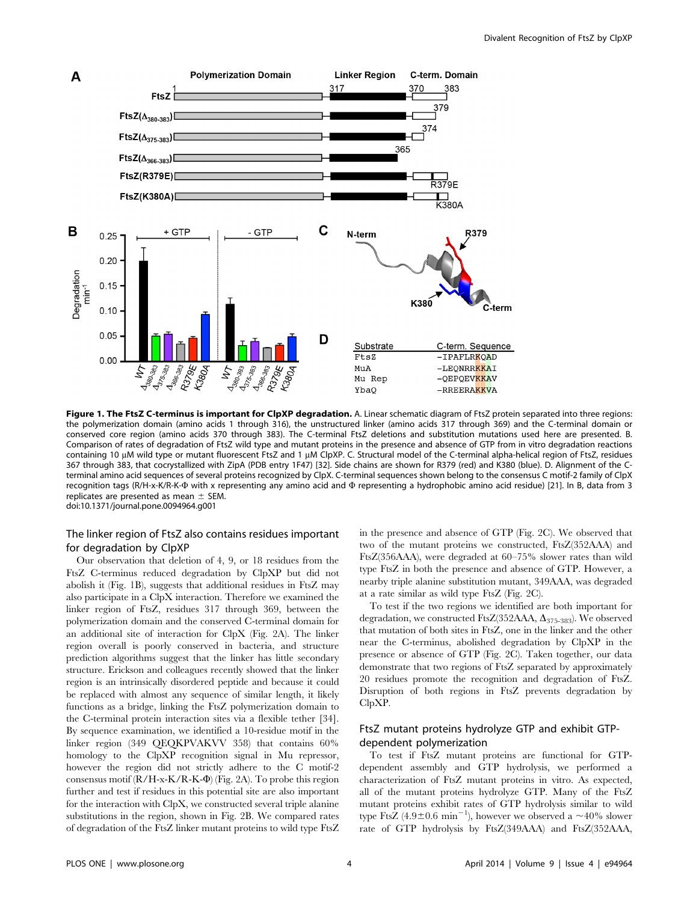

Figure 1. The FtsZ C-terminus is important for ClpXP degradation. A. Linear schematic diagram of FtsZ protein separated into three regions: the polymerization domain (amino acids 1 through 316), the unstructured linker (amino acids 317 through 369) and the C-terminal domain or conserved core region (amino acids 370 through 383). The C-terminal FtsZ deletions and substitution mutations used here are presented. B. Comparison of rates of degradation of FtsZ wild type and mutant proteins in the presence and absence of GTP from in vitro degradation reactions containing 10 µM wild type or mutant fluorescent FtsZ and 1 µM ClpXP. C. Structural model of the C-terminal alpha-helical region of FtsZ, residues 367 through 383, that cocrystallized with ZipA (PDB entry 1F47) [32]. Side chains are shown for R379 (red) and K380 (blue). D. Alignment of the Cterminal amino acid sequences of several proteins recognized by ClpX. C-terminal sequences shown belong to the consensus C motif-2 family of ClpX recognition tags (R/H-x-K/R-K-W with x representing any amino acid and W representing a hydrophobic amino acid residue) [21]. In B, data from 3 replicates are presented as mean  $\pm$  SEM. doi:10.1371/journal.pone.0094964.g001

#### The linker region of FtsZ also contains residues important for degradation by ClpXP

Our observation that deletion of 4, 9, or 18 residues from the FtsZ C-terminus reduced degradation by ClpXP but did not abolish it (Fig. 1B), suggests that additional residues in FtsZ may also participate in a ClpX interaction. Therefore we examined the linker region of FtsZ, residues 317 through 369, between the polymerization domain and the conserved C-terminal domain for an additional site of interaction for ClpX (Fig. 2A). The linker region overall is poorly conserved in bacteria, and structure prediction algorithms suggest that the linker has little secondary structure. Erickson and colleagues recently showed that the linker region is an intrinsically disordered peptide and because it could be replaced with almost any sequence of similar length, it likely functions as a bridge, linking the FtsZ polymerization domain to the C-terminal protein interaction sites via a flexible tether [34]. By sequence examination, we identified a 10-residue motif in the linker region (349 QEQKPVAKVV 358) that contains 60% homology to the ClpXP recognition signal in Mu repressor, however the region did not strictly adhere to the C motif-2 consensus motif (R/H-x-K/R-K-W) (Fig. 2A). To probe this region further and test if residues in this potential site are also important for the interaction with ClpX, we constructed several triple alanine substitutions in the region, shown in Fig. 2B. We compared rates of degradation of the FtsZ linker mutant proteins to wild type FtsZ in the presence and absence of GTP (Fig. 2C). We observed that two of the mutant proteins we constructed, FtsZ(352AAA) and FtsZ(356AAA), were degraded at 60–75% slower rates than wild type FtsZ in both the presence and absence of GTP. However, a nearby triple alanine substitution mutant, 349AAA, was degraded at a rate similar as wild type FtsZ (Fig. 2C).

To test if the two regions we identified are both important for degradation, we constructed FtsZ(352AAA,  $\Delta_{375-383}$ ). We observed that mutation of both sites in FtsZ, one in the linker and the other near the C-terminus, abolished degradation by ClpXP in the presence or absence of GTP (Fig. 2C). Taken together, our data demonstrate that two regions of FtsZ separated by approximately 20 residues promote the recognition and degradation of FtsZ. Disruption of both regions in FtsZ prevents degradation by ClpXP.

#### FtsZ mutant proteins hydrolyze GTP and exhibit GTPdependent polymerization

To test if FtsZ mutant proteins are functional for GTPdependent assembly and GTP hydrolysis, we performed a characterization of FtsZ mutant proteins in vitro. As expected, all of the mutant proteins hydrolyze GTP. Many of the FtsZ mutant proteins exhibit rates of GTP hydrolysis similar to wild type FtsZ  $(4.9\pm0.6 \text{ min}^{-1})$ , however we observed a  $\sim$ 40% slower rate of GTP hydrolysis by FtsZ(349AAA) and FtsZ(352AAA,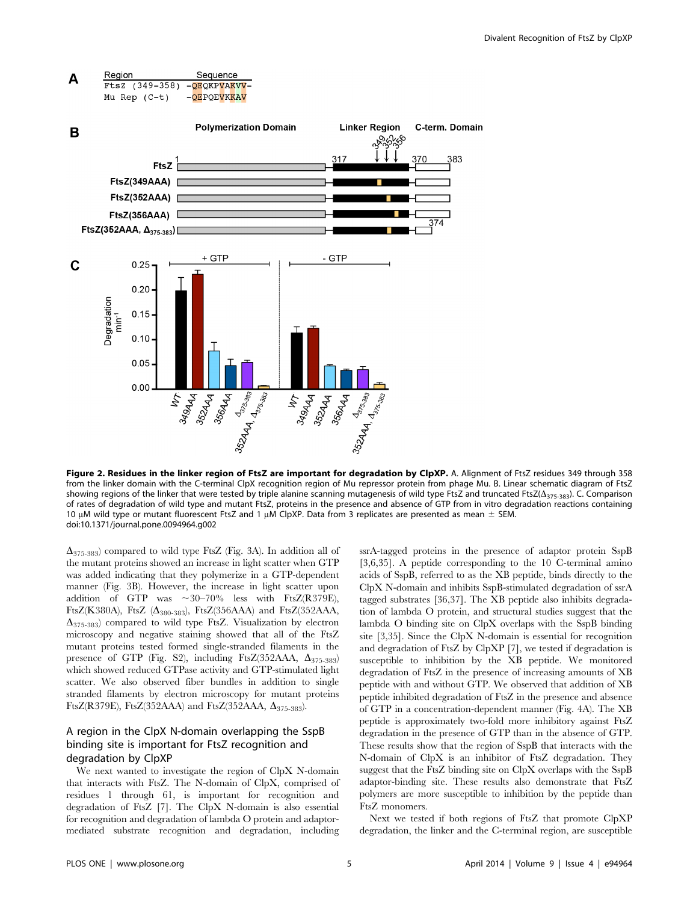

Figure 2. Residues in the linker region of FtsZ are important for degradation by ClpXP. A. Alignment of FtsZ residues 349 through 358 from the linker domain with the C-terminal ClpX recognition region of Mu repressor protein from phage Mu. B. Linear schematic diagram of FtsZ showing regions of the linker that were tested by triple alanine scanning mutagenesis of wild type FtsZ and truncated FtsZ( $\Delta_{375-383}$ ). C. Comparison of rates of degradation of wild type and mutant FtsZ, proteins in the presence and absence of GTP from in vitro degradation reactions containing 10  $\mu$ M wild type or mutant fluorescent FtsZ and 1  $\mu$ M ClpXP. Data from 3 replicates are presented as mean  $\pm$  SEM. doi:10.1371/journal.pone.0094964.g002

 $\Delta_{375-383}$  compared to wild type FtsZ (Fig. 3A). In addition all of the mutant proteins showed an increase in light scatter when GTP was added indicating that they polymerize in a GTP-dependent manner (Fig. 3B). However, the increase in light scatter upon addition of GTP was  $\sim 30-70\%$  less with FtsZ(R379E), FtsZ(K380A), FtsZ ( $\Delta$ <sub>380-383</sub>), FtsZ(356AAA) and FtsZ(352AAA,  $\Delta_{375-383}$  compared to wild type FtsZ. Visualization by electron microscopy and negative staining showed that all of the FtsZ mutant proteins tested formed single-stranded filaments in the presence of GTP (Fig. S2), including FtsZ(352AAA,  $\Delta_{375-383}$ ) which showed reduced GTPase activity and GTP-stimulated light scatter. We also observed fiber bundles in addition to single stranded filaments by electron microscopy for mutant proteins FtsZ(R379E), FtsZ(352AAA) and FtsZ(352AAA,  $\Delta$ <sub>375-383</sub>).

#### A region in the ClpX N-domain overlapping the SspB binding site is important for FtsZ recognition and degradation by ClpXP

We next wanted to investigate the region of ClpX N-domain that interacts with FtsZ. The N-domain of ClpX, comprised of residues 1 through 61, is important for recognition and degradation of FtsZ [7]. The ClpX N-domain is also essential for recognition and degradation of lambda O protein and adaptormediated substrate recognition and degradation, including

ssrA-tagged proteins in the presence of adaptor protein SspB [3,6,35]. A peptide corresponding to the 10 C-terminal amino acids of SspB, referred to as the XB peptide, binds directly to the ClpX N-domain and inhibits SspB-stimulated degradation of ssrA tagged substrates [36,37]. The XB peptide also inhibits degradation of lambda O protein, and structural studies suggest that the lambda O binding site on ClpX overlaps with the SspB binding site [3,35]. Since the ClpX N-domain is essential for recognition and degradation of FtsZ by ClpXP [7], we tested if degradation is susceptible to inhibition by the XB peptide. We monitored degradation of FtsZ in the presence of increasing amounts of XB peptide with and without GTP. We observed that addition of XB peptide inhibited degradation of FtsZ in the presence and absence of GTP in a concentration-dependent manner (Fig. 4A). The XB peptide is approximately two-fold more inhibitory against FtsZ degradation in the presence of GTP than in the absence of GTP. These results show that the region of SspB that interacts with the N-domain of ClpX is an inhibitor of FtsZ degradation. They suggest that the FtsZ binding site on ClpX overlaps with the SspB adaptor-binding site. These results also demonstrate that FtsZ polymers are more susceptible to inhibition by the peptide than FtsZ monomers.

Next we tested if both regions of FtsZ that promote ClpXP degradation, the linker and the C-terminal region, are susceptible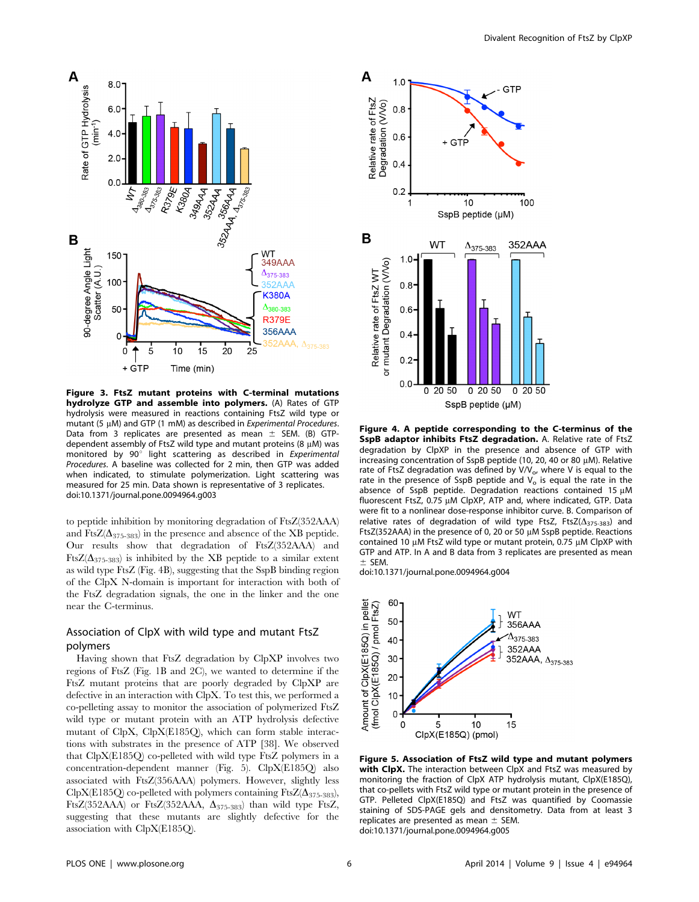

Figure 3. FtsZ mutant proteins with C-terminal mutations hydrolyze GTP and assemble into polymers. (A) Rates of GTP hydrolysis were measured in reactions containing FtsZ wild type or mutant (5 µM) and GTP (1 mM) as described in Experimental Procedures. Data from 3 replicates are presented as mean  $\pm$  SEM. (B) GTPdependent assembly of FtsZ wild type and mutant proteins  $(8 \mu M)$  was monitored by  $90^\circ$  light scattering as described in Experimental Procedures. A baseline was collected for 2 min, then GTP was added when indicated, to stimulate polymerization. Light scattering was measured for 25 min. Data shown is representative of 3 replicates. doi:10.1371/journal.pone.0094964.g003

to peptide inhibition by monitoring degradation of FtsZ(352AAA) and FtsZ( $\Delta_{375-383}$ ) in the presence and absence of the XB peptide. Our results show that degradation of FtsZ(352AAA) and FtsZ( $\Delta_{375-383}$ ) is inhibited by the XB peptide to a similar extent as wild type FtsZ (Fig. 4B), suggesting that the SspB binding region of the ClpX N-domain is important for interaction with both of the FtsZ degradation signals, the one in the linker and the one near the C-terminus.

#### Association of ClpX with wild type and mutant FtsZ polymers

Having shown that FtsZ degradation by ClpXP involves two regions of FtsZ (Fig. 1B and 2C), we wanted to determine if the FtsZ mutant proteins that are poorly degraded by ClpXP are defective in an interaction with ClpX. To test this, we performed a co-pelleting assay to monitor the association of polymerized FtsZ wild type or mutant protein with an ATP hydrolysis defective mutant of ClpX, ClpX(E185Q), which can form stable interactions with substrates in the presence of ATP [38]. We observed that ClpX(E185Q) co-pelleted with wild type FtsZ polymers in a concentration-dependent manner (Fig. 5). ClpX(E185Q) also associated with FtsZ(356AAA) polymers. However, slightly less ClpX(E185Q) co-pelleted with polymers containing FtsZ( $\Delta_{375-383}$ ), FtsZ(352AAA) or FtsZ(352AAA,  $\Delta_{375-383}$ ) than wild type FtsZ, suggesting that these mutants are slightly defective for the association with ClpX(E185Q).



Figure 4. A peptide corresponding to the C-terminus of the SspB adaptor inhibits FtsZ degradation. A. Relative rate of FtsZ degradation by ClpXP in the presence and absence of GTP with increasing concentration of SspB peptide (10, 20, 40 or 80  $\mu$ M). Relative rate of FtsZ degradation was defined by  $V/V_o$ , where V is equal to the rate in the presence of SspB peptide and  $V<sub>o</sub>$  is equal the rate in the absence of SspB peptide. Degradation reactions contained 15  $\mu$ M fluorescent FtsZ, 0.75 µM ClpXP, ATP and, where indicated, GTP. Data were fit to a nonlinear dose-response inhibitor curve. B. Comparison of relative rates of degradation of wild type FtsZ, FtsZ $(\Delta_{375-383})$  and FtsZ(352AAA) in the presence of 0, 20 or 50 µM SspB peptide. Reactions contained 10  $\mu$ M FtsZ wild type or mutant protein, 0.75  $\mu$ M ClpXP with GTP and ATP. In A and B data from 3 replicates are presented as mean  $±$  SEM.

doi:10.1371/journal.pone.0094964.g004



Figure 5. Association of FtsZ wild type and mutant polymers with ClpX. The interaction between ClpX and FtsZ was measured by monitoring the fraction of ClpX ATP hydrolysis mutant, ClpX(E185Q), that co-pellets with FtsZ wild type or mutant protein in the presence of GTP. Pelleted ClpX(E185Q) and FtsZ was quantified by Coomassie staining of SDS-PAGE gels and densitometry. Data from at least 3 replicates are presented as mean  $\pm$  SEM. doi:10.1371/journal.pone.0094964.g005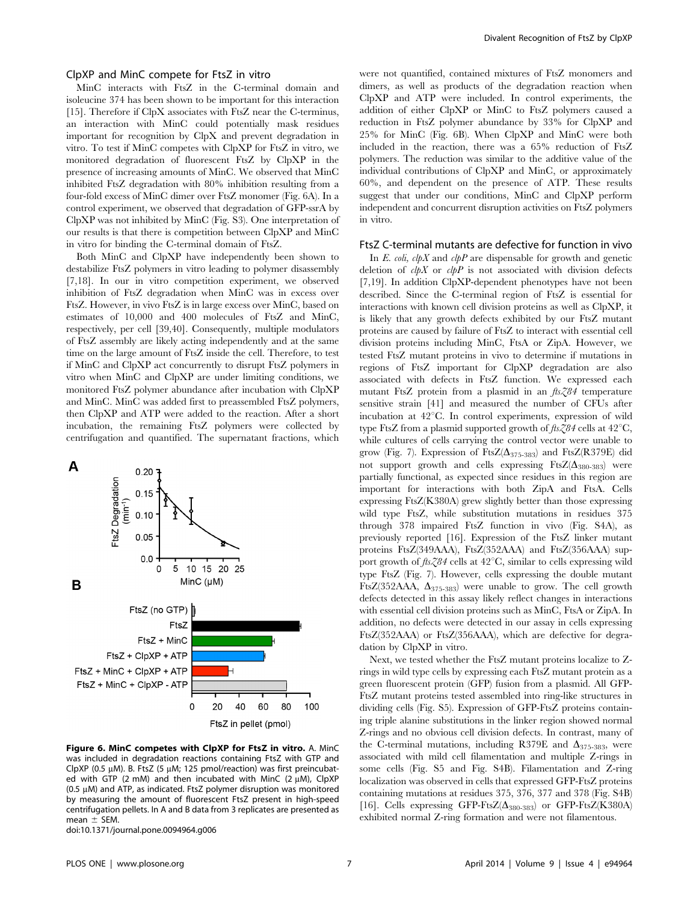#### ClpXP and MinC compete for FtsZ in vitro

MinC interacts with FtsZ in the C-terminal domain and isoleucine 374 has been shown to be important for this interaction [15]. Therefore if ClpX associates with FtsZ near the C-terminus, an interaction with MinC could potentially mask residues important for recognition by ClpX and prevent degradation in vitro. To test if MinC competes with ClpXP for FtsZ in vitro, we monitored degradation of fluorescent FtsZ by ClpXP in the presence of increasing amounts of MinC. We observed that MinC inhibited FtsZ degradation with 80% inhibition resulting from a four-fold excess of MinC dimer over FtsZ monomer (Fig. 6A). In a control experiment, we observed that degradation of GFP-ssrA by ClpXP was not inhibited by MinC (Fig. S3). One interpretation of our results is that there is competition between ClpXP and MinC in vitro for binding the C-terminal domain of FtsZ.

Both MinC and ClpXP have independently been shown to destabilize FtsZ polymers in vitro leading to polymer disassembly [7,18]. In our in vitro competition experiment, we observed inhibition of FtsZ degradation when MinC was in excess over FtsZ. However, in vivo FtsZ is in large excess over MinC, based on estimates of 10,000 and 400 molecules of FtsZ and MinC, respectively, per cell [39,40]. Consequently, multiple modulators of FtsZ assembly are likely acting independently and at the same time on the large amount of FtsZ inside the cell. Therefore, to test if MinC and ClpXP act concurrently to disrupt FtsZ polymers in vitro when MinC and ClpXP are under limiting conditions, we monitored FtsZ polymer abundance after incubation with ClpXP and MinC. MinC was added first to preassembled FtsZ polymers, then ClpXP and ATP were added to the reaction. After a short incubation, the remaining FtsZ polymers were collected by centrifugation and quantified. The supernatant fractions, which



Figure 6. MinC competes with ClpXP for FtsZ in vitro. A. MinC was included in degradation reactions containing FtsZ with GTP and ClpXP (0.5  $\mu$ M). B. FtsZ (5  $\mu$ M; 125 pmol/reaction) was first preincubated with GTP (2 mM) and then incubated with MinC (2  $\mu$ M), ClpXP (0.5  $\mu$ M) and ATP, as indicated. FtsZ polymer disruption was monitored by measuring the amount of fluorescent FtsZ present in high-speed centrifugation pellets. In A and B data from 3 replicates are presented as mean  $\pm$  SEM.

doi:10.1371/journal.pone.0094964.g006

were not quantified, contained mixtures of FtsZ monomers and dimers, as well as products of the degradation reaction when ClpXP and ATP were included. In control experiments, the addition of either ClpXP or MinC to FtsZ polymers caused a reduction in FtsZ polymer abundance by 33% for ClpXP and 25% for MinC (Fig. 6B). When ClpXP and MinC were both included in the reaction, there was a 65% reduction of FtsZ polymers. The reduction was similar to the additive value of the individual contributions of ClpXP and MinC, or approximately 60%, and dependent on the presence of ATP. These results suggest that under our conditions, MinC and ClpXP perform independent and concurrent disruption activities on FtsZ polymers in vitro.

#### FtsZ C-terminal mutants are defective for function in vivo

In E. coli, clpX and clpP are dispensable for growth and genetic deletion of  $\partial pX$  or  $\partial pP$  is not associated with division defects [7,19]. In addition ClpXP-dependent phenotypes have not been described. Since the C-terminal region of FtsZ is essential for interactions with known cell division proteins as well as ClpXP, it is likely that any growth defects exhibited by our FtsZ mutant proteins are caused by failure of FtsZ to interact with essential cell division proteins including MinC, FtsA or ZipA. However, we tested FtsZ mutant proteins in vivo to determine if mutations in regions of FtsZ important for ClpXP degradation are also associated with defects in FtsZ function. We expressed each mutant FtsZ protein from a plasmid in an  $\text{fts}\text{Z}84$  temperature sensitive strain [41] and measured the number of CFUs after incubation at 42°C. In control experiments, expression of wild type FtsZ from a plasmid supported growth of  $\frac{\partial \mathcal{L}}{\partial \mathcal{L}}$  cells at 42°C, while cultures of cells carrying the control vector were unable to grow (Fig. 7). Expression of FtsZ( $\Delta_{375-383}$ ) and FtsZ(R379E) did not support growth and cells expressing  $FtsZ(\Delta_{380-383})$  were partially functional, as expected since residues in this region are important for interactions with both ZipA and FtsA. Cells expressing FtsZ(K380A) grew slightly better than those expressing wild type FtsZ, while substitution mutations in residues 375 through 378 impaired FtsZ function in vivo (Fig. S4A), as previously reported [16]. Expression of the FtsZ linker mutant proteins FtsZ(349AAA), FtsZ(352AAA) and FtsZ(356AAA) support growth of  $\text{fts}\text{Z}84$  cells at  $42^{\circ}\text{C}$ , similar to cells expressing wild type FtsZ (Fig. 7). However, cells expressing the double mutant FtsZ(352AAA,  $\Delta_{375-383}$ ) were unable to grow. The cell growth defects detected in this assay likely reflect changes in interactions with essential cell division proteins such as MinC, FtsA or ZipA. In addition, no defects were detected in our assay in cells expressing FtsZ(352AAA) or FtsZ(356AAA), which are defective for degradation by ClpXP in vitro.

Next, we tested whether the FtsZ mutant proteins localize to Zrings in wild type cells by expressing each FtsZ mutant protein as a green fluorescent protein (GFP) fusion from a plasmid. All GFP-FtsZ mutant proteins tested assembled into ring-like structures in dividing cells (Fig. S5). Expression of GFP-FtsZ proteins containing triple alanine substitutions in the linker region showed normal Z-rings and no obvious cell division defects. In contrast, many of the C-terminal mutations, including R379E and  $\Delta_{375-383}$ , were associated with mild cell filamentation and multiple Z-rings in some cells (Fig. S5 and Fig. S4B). Filamentation and Z-ring localization was observed in cells that expressed GFP-FtsZ proteins containing mutations at residues 375, 376, 377 and 378 (Fig. S4B) [16]. Cells expressing GFP-FtsZ( $\Delta_{380-383}$ ) or GFP-FtsZ(K380A) exhibited normal Z-ring formation and were not filamentous.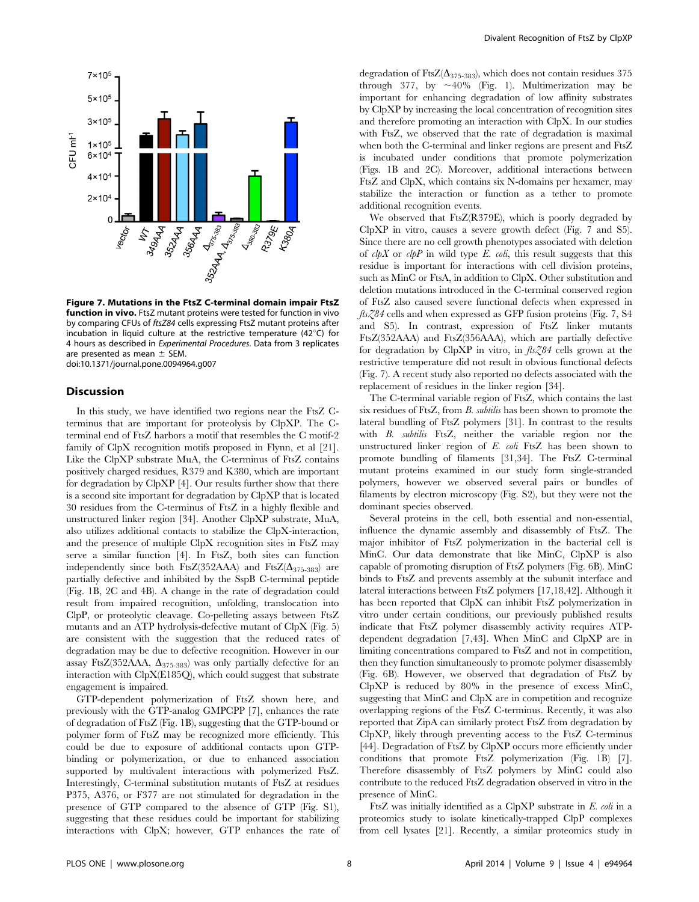

Figure 7. Mutations in the FtsZ C-terminal domain impair FtsZ **function in vivo.** FtsZ mutant proteins were tested for function in vivo by comparing CFUs of ftsZ84 cells expressing FtsZ mutant proteins after incubation in liquid culture at the restrictive temperature (42 $^{\circ}$ C) for 4 hours as described in Experimental Procedures. Data from 3 replicates are presented as mean  $\pm$  SEM. doi:10.1371/journal.pone.0094964.g007

#### Discussion

In this study, we have identified two regions near the FtsZ Cterminus that are important for proteolysis by ClpXP. The Cterminal end of FtsZ harbors a motif that resembles the C motif-2 family of ClpX recognition motifs proposed in Flynn, et al [21]. Like the ClpXP substrate MuA, the C-terminus of FtsZ contains positively charged residues, R379 and K380, which are important for degradation by ClpXP [4]. Our results further show that there is a second site important for degradation by ClpXP that is located 30 residues from the C-terminus of FtsZ in a highly flexible and unstructured linker region [34]. Another ClpXP substrate, MuA, also utilizes additional contacts to stabilize the ClpX-interaction, and the presence of multiple ClpX recognition sites in FtsZ may serve a similar function [4]. In FtsZ, both sites can function independently since both FtsZ(352AAA) and FtsZ( $\Delta_{375-383}$ ) are partially defective and inhibited by the SspB C-terminal peptide (Fig. 1B, 2C and 4B). A change in the rate of degradation could result from impaired recognition, unfolding, translocation into ClpP, or proteolytic cleavage. Co-pelleting assays between FtsZ mutants and an ATP hydrolysis-defective mutant of ClpX (Fig. 5) are consistent with the suggestion that the reduced rates of degradation may be due to defective recognition. However in our assay FtsZ(352AAA,  $\Delta_{375-383}$ ) was only partially defective for an interaction with ClpX(E185Q), which could suggest that substrate engagement is impaired.

GTP-dependent polymerization of FtsZ shown here, and previously with the GTP-analog GMPCPP [7], enhances the rate of degradation of FtsZ (Fig. 1B), suggesting that the GTP-bound or polymer form of FtsZ may be recognized more efficiently. This could be due to exposure of additional contacts upon GTPbinding or polymerization, or due to enhanced association supported by multivalent interactions with polymerized FtsZ. Interestingly, C-terminal substitution mutants of FtsZ at residues P375, A376, or F377 are not stimulated for degradation in the presence of GTP compared to the absence of GTP (Fig. S1), suggesting that these residues could be important for stabilizing interactions with ClpX; however, GTP enhances the rate of degradation of FtsZ( $\Delta_{375-383}$ ), which does not contain residues 375 through 377, by  $\sim$  40% (Fig. 1). Multimerization may be important for enhancing degradation of low affinity substrates by ClpXP by increasing the local concentration of recognition sites and therefore promoting an interaction with ClpX. In our studies with FtsZ, we observed that the rate of degradation is maximal when both the C-terminal and linker regions are present and FtsZ is incubated under conditions that promote polymerization (Figs. 1B and 2C). Moreover, additional interactions between FtsZ and ClpX, which contains six N-domains per hexamer, may stabilize the interaction or function as a tether to promote additional recognition events.

We observed that FtsZ(R379E), which is poorly degraded by ClpXP in vitro, causes a severe growth defect (Fig. 7 and S5). Since there are no cell growth phenotypes associated with deletion of  $clpX$  or  $clpP$  in wild type E.  $coli$ , this result suggests that this residue is important for interactions with cell division proteins, such as MinC or FtsA, in addition to ClpX. Other substitution and deletion mutations introduced in the C-terminal conserved region of FtsZ also caused severe functional defects when expressed in  $fts\zeta\bar{8}4$  cells and when expressed as GFP fusion proteins (Fig. 7, S4 and S5). In contrast, expression of FtsZ linker mutants FtsZ(352AAA) and FtsZ(356AAA), which are partially defective for degradation by ClpXP in vitro, in  $\text{fs}\text{Z}84$  cells grown at the restrictive temperature did not result in obvious functional defects (Fig. 7). A recent study also reported no defects associated with the replacement of residues in the linker region [34].

The C-terminal variable region of FtsZ, which contains the last six residues of FtsZ, from B. subtilis has been shown to promote the lateral bundling of FtsZ polymers [31]. In contrast to the results with B. subtilis FtsZ, neither the variable region nor the unstructured linker region of E. coli FtsZ has been shown to promote bundling of filaments [31,34]. The FtsZ C-terminal mutant proteins examined in our study form single-stranded polymers, however we observed several pairs or bundles of filaments by electron microscopy (Fig. S2), but they were not the dominant species observed.

Several proteins in the cell, both essential and non-essential, influence the dynamic assembly and disassembly of FtsZ. The major inhibitor of FtsZ polymerization in the bacterial cell is MinC. Our data demonstrate that like MinC, ClpXP is also capable of promoting disruption of FtsZ polymers (Fig. 6B). MinC binds to FtsZ and prevents assembly at the subunit interface and lateral interactions between FtsZ polymers [17,18,42]. Although it has been reported that ClpX can inhibit FtsZ polymerization in vitro under certain conditions, our previously published results indicate that FtsZ polymer disassembly activity requires ATPdependent degradation [7,43]. When MinC and ClpXP are in limiting concentrations compared to FtsZ and not in competition, then they function simultaneously to promote polymer disassembly (Fig. 6B). However, we observed that degradation of FtsZ by ClpXP is reduced by 80% in the presence of excess MinC, suggesting that MinC and ClpX are in competition and recognize overlapping regions of the FtsZ C-terminus. Recently, it was also reported that ZipA can similarly protect FtsZ from degradation by ClpXP, likely through preventing access to the FtsZ C-terminus [44]. Degradation of FtsZ by ClpXP occurs more efficiently under conditions that promote FtsZ polymerization (Fig. 1B) [7]. Therefore disassembly of FtsZ polymers by MinC could also contribute to the reduced FtsZ degradation observed in vitro in the presence of MinC.

FtsZ was initially identified as a ClpXP substrate in E. coli in a proteomics study to isolate kinetically-trapped ClpP complexes from cell lysates [21]. Recently, a similar proteomics study in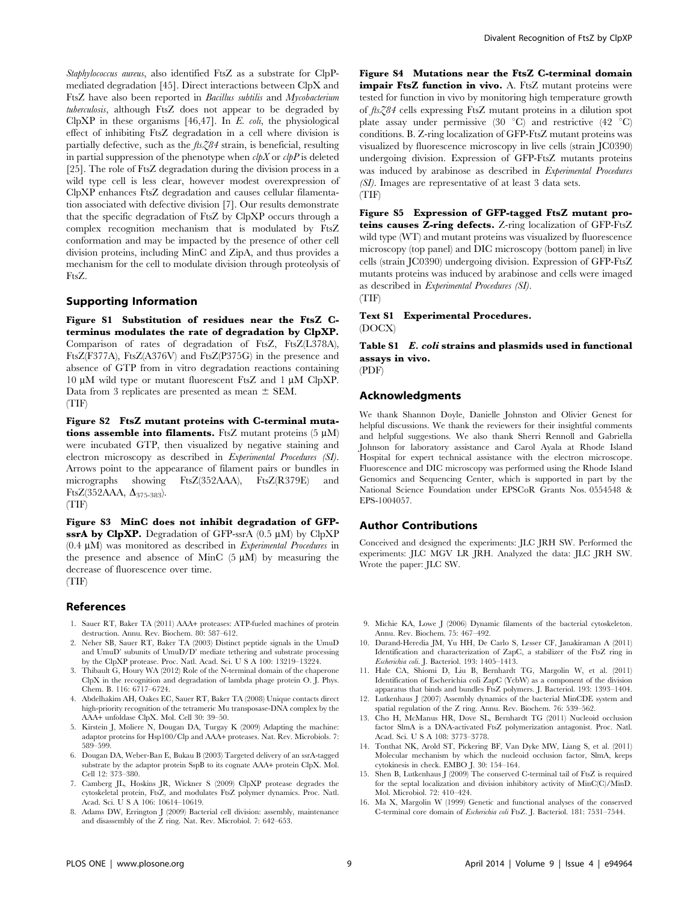Staphylococcus aureus, also identified FtsZ as a substrate for ClpPmediated degradation [45]. Direct interactions between ClpX and FtsZ have also been reported in Bacillus subtilis and Mycobacterium tuberculosis, although FtsZ does not appear to be degraded by ClpXP in these organisms  $[46, 47]$ . In E. coli, the physiological effect of inhibiting FtsZ degradation in a cell where division is partially defective, such as the  $f \in \mathcal{Z}84$  strain, is beneficial, resulting in partial suppression of the phenotype when  $\partial pX$  or  $\partial pP$  is deleted [25]. The role of FtsZ degradation during the division process in a wild type cell is less clear, however modest overexpression of ClpXP enhances FtsZ degradation and causes cellular filamentation associated with defective division [7]. Our results demonstrate that the specific degradation of FtsZ by ClpXP occurs through a complex recognition mechanism that is modulated by FtsZ conformation and may be impacted by the presence of other cell division proteins, including MinC and ZipA, and thus provides a mechanism for the cell to modulate division through proteolysis of FtsZ.

#### Supporting Information

Figure S1 Substitution of residues near the FtsZ Cterminus modulates the rate of degradation by ClpXP. Comparison of rates of degradation of FtsZ, FtsZ(L378A), FtsZ(F377A), FtsZ(A376V) and FtsZ(P375G) in the presence and absence of GTP from in vitro degradation reactions containing 10  $\mu$ M wild type or mutant fluorescent FtsZ and 1  $\mu$ M ClpXP. Data from 3 replicates are presented as mean  $\pm$  SEM. (TIF)

Figure S2 FtsZ mutant proteins with C-terminal mutations assemble into filaments. FtsZ mutant proteins  $(5 \mu M)$ were incubated GTP, then visualized by negative staining and electron microscopy as described in Experimental Procedures (SI). Arrows point to the appearance of filament pairs or bundles in micrographs showing FtsZ(352AAA), FtsZ(R379E) and FtsZ(352AAA,  $\Delta$ <sub>375-383</sub>). (TIF)

Figure S3 MinC does not inhibit degradation of GFPssrA by ClpXP. Degradation of GFP-ssrA  $(0.5 \mu M)$  by ClpXP  $(0.4 \mu M)$  was monitored as described in Experimental Procedures in the presence and absence of MinC  $(5 \mu M)$  by measuring the decrease of fluorescence over time. (TIF)

### References

- 1. Sauer RT, Baker TA (2011) AAA+ proteases: ATP-fueled machines of protein destruction. Annu. Rev. Biochem. 80: 587–612.
- 2. Neher SB, Sauer RT, Baker TA (2003) Distinct peptide signals in the UmuD and UmuD' subunits of UmuD/D' mediate tethering and substrate processing by the ClpXP protease. Proc. Natl. Acad. Sci. U S A 100: 13219–13224.
- 3. Thibault G, Houry WA (2012) Role of the N-terminal domain of the chaperone ClpX in the recognition and degradation of lambda phage protein O. J. Phys. Chem. B. 116: 6717–6724.
- 4. Abdelhakim AH, Oakes EC, Sauer RT, Baker TA (2008) Unique contacts direct high-priority recognition of the tetrameric Mu transposase-DNA complex by the AAA+ unfoldase ClpX. Mol. Cell 30: 39–50.
- 5. Kirstein J, Moliere N, Dougan DA, Turgay K (2009) Adapting the machine: adaptor proteins for Hsp100/Clp and AAA+ proteases. Nat. Rev. Microbiols. 7: 589–599.
- 6. Dougan DA, Weber-Ban E, Bukau B (2003) Targeted delivery of an ssrA-tagged substrate by the adaptor protein SspB to its cognate AAA+ protein ClpX. Mol. Cell 12: 373–380.
- 7. Camberg JL, Hoskins JR, Wickner S (2009) ClpXP protease degrades the cytoskeletal protein, FtsZ, and modulates FtsZ polymer dynamics. Proc. Natl. Acad. Sci. U S A 106: 10614–10619.
- 8. Adams DW, Errington J (2009) Bacterial cell division: assembly, maintenance and disassembly of the Z ring. Nat. Rev. Microbiol. 7: 642–653.

Figure S4 Mutations near the FtsZ C-terminal domain impair FtsZ function in vivo. A. FtsZ mutant proteins were tested for function in vivo by monitoring high temperature growth of ftsZ84 cells expressing FtsZ mutant proteins in a dilution spot plate assay under permissive (30  $^{\circ}$ C) and restrictive (42  $^{\circ}$ C) conditions. B. Z-ring localization of GFP-FtsZ mutant proteins was visualized by fluorescence microscopy in live cells (strain JC0390) undergoing division. Expression of GFP-FtsZ mutants proteins was induced by arabinose as described in Experimental Procedures (SI). Images are representative of at least 3 data sets. (TIF)

Figure S5 Expression of GFP-tagged FtsZ mutant proteins causes Z-ring defects. Z-ring localization of GFP-FtsZ wild type (WT) and mutant proteins was visualized by fluorescence microscopy (top panel) and DIC microscopy (bottom panel) in live cells (strain JC0390) undergoing division. Expression of GFP-FtsZ mutants proteins was induced by arabinose and cells were imaged as described in Experimental Procedures (SI). (TIF)

Text S1 Experimental Procedures. (DOCX)

Table S1 E. coli strains and plasmids used in functional assays in vivo.

(PDF)

#### Acknowledgments

We thank Shannon Doyle, Danielle Johnston and Olivier Genest for helpful discussions. We thank the reviewers for their insightful comments and helpful suggestions. We also thank Sherri Rennoll and Gabriella Johnson for laboratory assistance and Carol Ayala at Rhode Island Hospital for expert technical assistance with the electron microscope. Fluorescence and DIC microscopy was performed using the Rhode Island Genomics and Sequencing Center, which is supported in part by the National Science Foundation under EPSCoR Grants Nos. 0554548 & EPS-1004057.

#### Author Contributions

Conceived and designed the experiments: JLC JRH SW. Performed the experiments: JLC MGV LR JRH. Analyzed the data: JLC JRH SW. Wrote the paper: JLC SW.

- 9. Michie KA, Lowe J (2006) Dynamic filaments of the bacterial cytoskeleton. Annu. Rev. Biochem. 75: 467–492.
- 10. Durand-Heredia JM, Yu HH, De Carlo S, Lesser CF, Janakiraman A (2011) Identification and characterization of ZapC, a stabilizer of the FtsZ ring in Escherichia coli. J. Bacteriol. 193: 1405–1413.
- 11. Hale CA, Shiomi D, Liu B, Bernhardt TG, Margolin W, et al. (2011) Identification of Escherichia coli ZapC (YcbW) as a component of the division apparatus that binds and bundles FtsZ polymers. J. Bacteriol. 193: 1393–1404.
- 12. Lutkenhaus J (2007) Assembly dynamics of the bacterial MinCDE system and spatial regulation of the Z ring. Annu. Rev. Biochem. 76: 539–562.
- 13. Cho H, McManus HR, Dove SL, Bernhardt TG (2011) Nucleoid occlusion factor SlmA is a DNA-activated FtsZ polymerization antagonist. Proc. Natl. Acad. Sci. U S A 108: 3773–3778.
- 14. Tonthat NK, Arold ST, Pickering BF, Van Dyke MW, Liang S, et al. (2011) Molecular mechanism by which the nucleoid occlusion factor, SlmA, keeps cytokinesis in check. EMBO J. 30: 154–164.
- 15. Shen B, Lutkenhaus J (2009) The conserved C-terminal tail of FtsZ is required for the septal localization and division inhibitory activity of MinC(C)/MinD. Mol. Microbiol. 72: 410–424.
- 16. Ma X, Margolin W (1999) Genetic and functional analyses of the conserved C-terminal core domain of Escherichia coli FtsZ. J. Bacteriol. 181: 7531–7544.